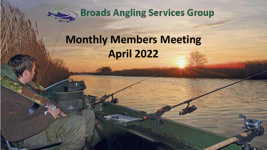

**Broads Angling Services Group** 

# **Monthly Members Meeting April 2022**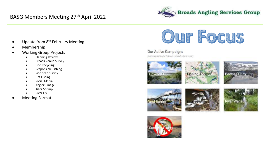## BASG Members Meeting 27th April 2022



- Update from 8<sup>th</sup> February Meeting
- Membership
- Working Group Projects
	- Planning Review
	- Broads Venue Survey
	- Line Recycling
	- Responsible Fishing
	- Side Scan Survey
	- Get Fishing
	- Social Media
	- Anglers Image
	- Killer Shrimp
	- **River Fly**
- Meeting Format



#### Our Active Campaigns

Eventioning contemp voring the Broads - cripling birational freestern







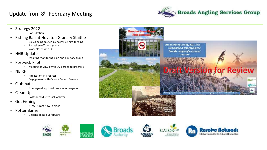## Update from 8th February Meeting





- Potter Barrier
	- Designs being put forward





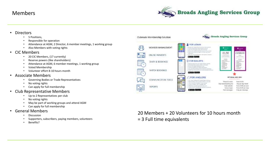#### Members



- **Directors** 
	- 5 Positions,
	- Responsible for operation
	- Attendance at AGM, 2 Director, 6 member meetings, 1 working group
	- Also Members with voting rights
- CIC Members
	- 20 CIC Members, (17 currently)
	- Reserve powers (like shareholders)
	- Attendance at AGM, 6 member meetings, 1 working group
	- Voted Membership
	- Volunteer effort 8-10 hours month

#### • Associate Members

- Governing Bodies or Trade Representatives
- No voting rights
- Can apply for full membership
- Club Representative Members
	- Up to 2 Representatives per club
	- No voting rights
	- May be part of working groups and attend AGM
	- Can apply for full membership
- General Members
	- **Discussion**
	- Supporters, subscribers, paying members, volunteers
	- Benefits?



# 20 Members + 20 Volunteers for 10 hours month

= 3 Full time equivalents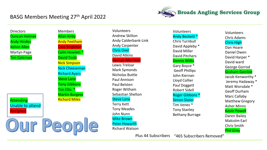#### BASG Members Meeting 27th April 2022

**Our People** 



**Directors** Duncan Holmes Andy Hindes Kelvin Allen Martyn Page Tim Coleman

Attending Unable to attend Resigned





Volunteers Andy Beckett \* Chris Turnbull David Appleby \* David Miller David Pitchers Dennis Willis Gary Boyce \* Geoff Phillips John Kiernan Lloyd Collier Paul Doggett Robert Sidell Roger Gibbons \* Simon Slater Tim Venes \* Tony Stanley Bethany Burrage

Volunteers Chris Adams Chris High Dan Hoare Daniel Owen David Harper \* David ward George Gorrod Graham Gamble Jacob Kenworthy \* Jeremy Hadaway \* Matt Worsdale \* Geoff Durham Marc Callaby Matthew Gregory Asher Minns Kevin Powell Daren Bailey Malcolm Earl Chris Smith Phil Grey

Plus 44 Subscribers "465 Subscribers Removed"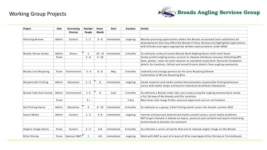#### Working Group Projects



| Project                    | Role  | Overseeing      | <b>Number</b> | <b>Hours</b> | Start     | <b>Duration</b> | <b>Details</b>                                                                         |
|----------------------------|-------|-----------------|---------------|--------------|-----------|-----------------|----------------------------------------------------------------------------------------|
|                            |       | <b>Director</b> | People        | Month        |           |                 |                                                                                        |
|                            |       |                 |               |              |           |                 |                                                                                        |
| Planning Review            | Admin | Sustain         | $1 - 2$       | $6 - 8$      | Immediate | ongoing         | Monitor planning applications within the Broads associated local authorities for       |
|                            |       |                 |               |              |           |                 | developments that may affect the Broads Fishery. Review any highlighted applications   |
|                            |       |                 |               |              |           |                 | with Director and agree appropriate written representation under BASG                  |
| <b>Broads Venue Survey</b> | Admin | Access          | 1             | $10 - 12$    | Immediate | 2 months        | Co-ordinate survey of current Broads Bank Angling Access with small team               |
|                            | Team  |                 | $2 - 6$       | $4 - 10$     |           |                 | Survey current angling access assests to improve database accuracy. Collecting GPS     |
|                            |       |                 |               |              |           |                 | Data, photos, notes for each location on standard survey form. Research landowner      |
|                            |       |                 |               |              |           |                 | details for locations. Collect and record historic details from angling community      |
| Broads Line Recycling      | Team  | Environment     | $3 - 4$       | $6 - 8$      | May       | 3 months        | Indentify and arrange permission fro Lone Recylcing Scheme                             |
|                            |       |                 |               |              |           |                 | Installation of 30 Line Recycling Bins                                                 |
| Responsible Fishing        | Admin | Education       | $2 - 3$       | 8            | Immediate | ongoing         | Create material and media content that promotes responsible fishing behaviour          |
|                            |       |                 |               |              |           |                 | Liaise with tackle shops and tourist industry to distribute information                |
| Broads Side Scan Survey    | Admin | Environment     | $1 - 2$       | 8            | June      | 2 months        | Co-ordinate a Broads wide side scan survey using the angling community to create       |
|                            |       |                 |               |              |           |                 | a full 3d map of the broads and fihs locations                                         |
|                            | Team  |                 | $3+$          |              |           | 1 day           | Must have side image finder, carry out orgainsed scan on set location                  |
| Get Fishing Events         | Admin | Education       | 4             | $8 - 10$     | immediate | 4 months        | Co-ordinate as a group, 3 Get Fishing events across the broads summer 2022             |
| Social Media               | Admin | Sustain         | $1 - 3$       | $6 - 8$      | immediate | ongoing         | monitor and post pre determined media content across social media platforms            |
|                            |       |                 |               |              |           |                 | NOT to get involved in debate on topics, purely to post content and report interesting |
|                            |       |                 |               |              |           |                 | content back to directors for comment.                                                 |
| Anglers Image Events       | Team  | Sustain         | $2 - 3$       | $6-8$        | Immediate | 6 months        | Co-ordinate a series of events that aim to improve angler image on the Broads          |
| Killer Shrimp              | Team  | External NWT    | 1             | $4 - 6$      | Immediate | ongoing         | Work with NWT as part of a team of 10 to investigate Killer Shrimp on Trinity Broads   |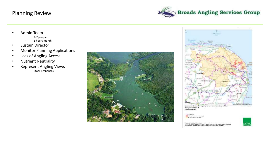#### Planning Review



- Admin Team
	- 1-2 people
	- 8 hours month
- Sustain Director
- Monitor Planning Applications
- Loss of Angling Access
- Nutrient Neutrality
- Represent Angling Views
	- Stock Responses





Thinking **EST visitaire** Gradual Roberta **Belle Market Williams** 

Paralament by Colora Republic Corp. Achieven<br>1979–1982 - Imperium and with the corporations of A<br>1992 - John Corporation and delays are the in 2007. Detail

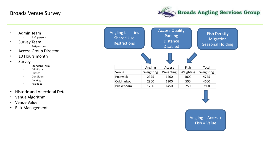#### Broads Venue Survey



- Admin Team
	- 1 -2 persons
- Survey Team
	- 2-6 persons
- Access Group Director
- 10 Hours month
- **Survey** 
	- Standard Form
	- GPS Data.
	- Photos
	- Condition
	- Parking
	- Facilities
- Historic and Anecdotal Details
- Venue Algorithm
- Venue Value
- Risk Management





Fish = Value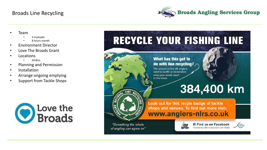#### Broads Line Recycling



- Team
	- 3-4 people
	- 8 hours month
- Environment Director
- Love The Broads Grant
- **Locations** 
	- 34 Bins
- Planning and Permission
- **Installation**
- Arrange ongoing emptying
- Support from Tackle Shops



# RECYCLE YOUR FISHING LINE What has this got to do with line recycling? The amount of line UK anglers send to landfill or incineration every year would reach to the moon. 384,400 km Look out for this recyle badge at tackle shops and venues. To find out more visit: www.anglers-nirs.co.uk "Something the whole **Find us on Facebook** 'ISA Founded by LISA in association with GGGI.

of angling can agree on"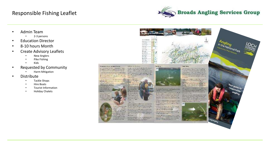#### Responsible Fishing Leaflet



- Admin Team
	- 2-3 persons
- Education Director
- 8-10 hours Month
- Create Advisory Leaflets
	- New Anglers
	- Pike Fishing
	- Kids
- Requested by Community
	- Harm Mitigation
- Distribute
	- Tackle Shops
	- Hire Boats
	- Tourist Information

**Greenwork GALLAND CO** 

**Contained** 

*Marineson* 

account the

- in Kel Immobil

**Charles Marchette** 

**ANGEL !!!!** 

• Holiday Chalets

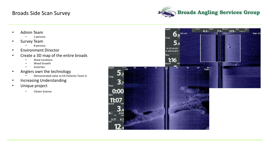#### Broads Side Scan Survey



- Admin Team
	- 2 persons
- Survey Team
	- 8 persons
- Environment Director
- Create a 3D map of the entire broads
	- Shoal Locations
	- Weed Growth
	- **Surprises**
- Anglers own the technology
	- Demonstrated value to EA Fisheries Team in
- Increasing Understanding
- Unique project
	- Citizen Science

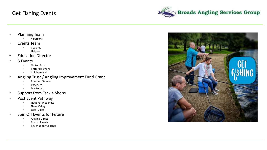#### Get Fishing Events

**Broads Angling Services Group** 

- Planning Team
	- 4 persons
- Events Team
	- Coaches
	- Helpers
- Education Director
- 3 Events
	- Oulton Broad
	- Potter Heigham
	- Coldham Hall
- Angling Trust / Angling Improvement Fund Grant
	- Branded Gazebo
	- Expenses
	- **Marketing**
- Support from Tackle Shops
- Post Event Pathway
	- National Weakness
	- Nene Valley
	- Local Clubs
- Spin Off Events for Future
	- Angling Direct
	- Tourist Events
	- Revenue for Coaches

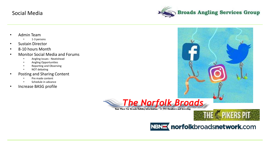#### Social Media



- Admin Team
	- 1-3 persons
- Sustain Director
- 8-10 hours Month
- Monitor Social Media and Forums
	- Angling Issues Neatishead
	- Angling Opportunities
	- Reporting and Observing
	- NOT debating
- Posting and Sharing Content
	- Pre made content
	- Schedule in advance
- Increase BASG profile



Your Place For Broads Holiday Information - 12,992 Members and Growing

# THE **C** PIKERS PIT

NBN<br /> **norfolkbroadsnetwork.com**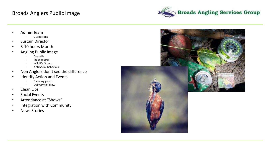### Broads Anglers Public Image



- Admin Team
	- 2-3 persons
- Sustain Director
- 8-10 hours Month
- Angling Public Image
	- **Councils**
	- **Stakeholders**
	- Wildlife Groups
	- Anti Social Behaviour
- Non Anglers don't see the difference
- Identify Action and Events
	- Planning group
	- Delivery to follow
- Clean Ups
- Social Events
- Attendance at "Shows"
- Integration with Community
- News Stories



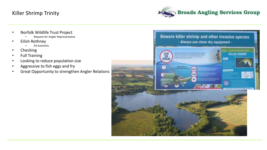#### Killer Shrimp Trinity



- Norfolk Wildlife Trust Project
	- Request for Angler Representative
- Eilish Rothney
	- EA Scientists
- Checking
- Full Training
- Looking to reduce population size
- Aggressive to fish eggs and fry
- Great Opportunity to strengthen Angler Relations

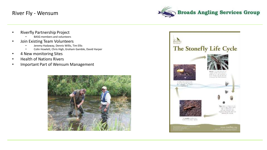#### River Fly - Wensum



- Riverfly Partnership Project
	- BASG members and volunteers
- Join Existing Team Volunteers
	- Jeremy Hadaway, Dennis Willis, Tim Ellis
	- Colin Howlett, Chris High, Graham Gamble, David Harper
- 4 New monitoring Sites
- Health of Nations Rivers
- Important Part of Wensum Management



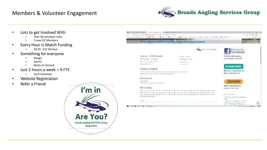#### Members & Volunteer Engagement



- Lots to get Involved With
	- Over 30 volunteer roles
	- 3 new CIC Members
- Every Hour is Match Funding
	- £9.50 £37.50 Hour
- Something for everyone
	- Design
	- Admin
	- Boots on Ground
- $\cdot$  Just 2 hours a week = 9 FTE
	- Each Volunteer
- Website Registration
- Refer a Friend



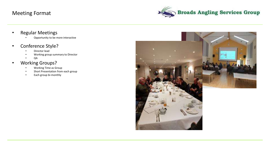#### Meeting Format



- Regular Meetings
	- Opportunity to be more interactive
- Conference Style?
	- Director lead
	- Working group summary to Director
	- QA
- Working Groups?
	- Working Time as Group
	- Short Presentation from each group
	- Each group bi-monthly